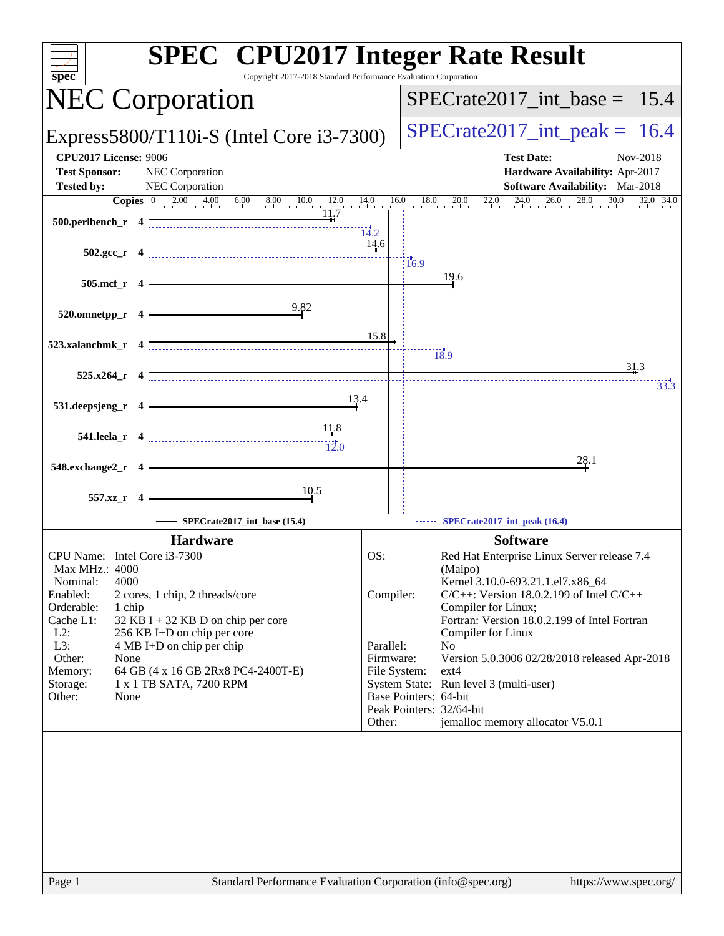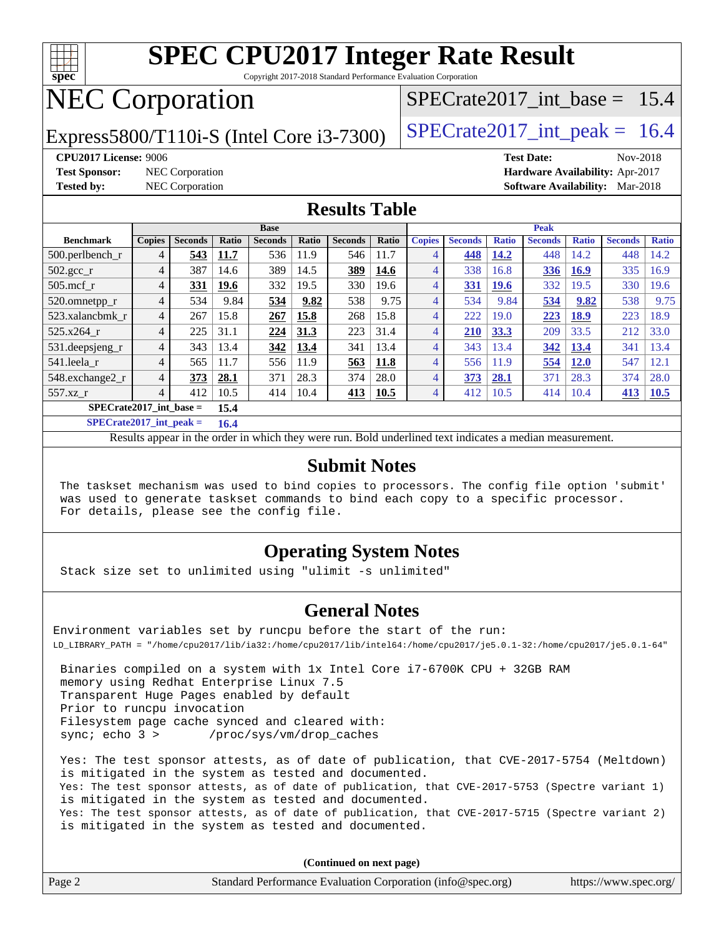

Copyright 2017-2018 Standard Performance Evaluation Corporation

## NEC Corporation

Express5800/T110i-S (Intel Core i3-7300)  $\vert$  [SPECrate2017\\_int\\_peak =](http://www.spec.org/auto/cpu2017/Docs/result-fields.html#SPECrate2017intpeak) 16.4

SPECrate2017 int\_base =  $15.4$ 

**[Test Sponsor:](http://www.spec.org/auto/cpu2017/Docs/result-fields.html#TestSponsor)** NEC Corporation **[Hardware Availability:](http://www.spec.org/auto/cpu2017/Docs/result-fields.html#HardwareAvailability)** Apr-2017

**[CPU2017 License:](http://www.spec.org/auto/cpu2017/Docs/result-fields.html#CPU2017License)** 9006 **[Test Date:](http://www.spec.org/auto/cpu2017/Docs/result-fields.html#TestDate)** Nov-2018

**[Tested by:](http://www.spec.org/auto/cpu2017/Docs/result-fields.html#Testedby)** NEC Corporation **[Software Availability:](http://www.spec.org/auto/cpu2017/Docs/result-fields.html#SoftwareAvailability)** Mar-2018

### **[Results Table](http://www.spec.org/auto/cpu2017/Docs/result-fields.html#ResultsTable)**

|                                   | <b>Base</b>    |                |       |                |              |                | <b>Peak</b> |               |                |              |                |              |                |              |
|-----------------------------------|----------------|----------------|-------|----------------|--------------|----------------|-------------|---------------|----------------|--------------|----------------|--------------|----------------|--------------|
| <b>Benchmark</b>                  | <b>Copies</b>  | <b>Seconds</b> | Ratio | <b>Seconds</b> | <b>Ratio</b> | <b>Seconds</b> | Ratio       | <b>Copies</b> | <b>Seconds</b> | <b>Ratio</b> | <b>Seconds</b> | <b>Ratio</b> | <b>Seconds</b> | <b>Ratio</b> |
| $500.$ perlbench_r                | 4              | 543            | 11.7  | 536            | 11.9         | 546            | 11.7        | 4             | 448            | 14.2         | 448            | 14.2         | 448            | 14.2         |
| 502.gcc_r                         | 4              | 387            | 14.6  | 389            | 14.5         | 389            | 14.6        | 4             | 338            | 16.8         | 336            | <b>16.9</b>  | 335            | 16.9         |
| $505$ .mcf r                      | $\overline{4}$ | 331            | 19.6  | 332            | 19.5         | 330            | 19.6        | 4             | <b>331</b>     | <b>19.6</b>  | 332            | 19.5         | 330            | 19.6         |
| 520.omnetpp_r                     | 4              | 534            | 9.84  | 534            | 9.82         | 538            | 9.75        | 4             | 534            | 9.84         | 534            | 9.82         | 538            | 9.75         |
| 523.xalancbmk r                   | $\overline{4}$ | 267            | 15.8  | 267            | 15.8         | 268            | 15.8        | 4             | 222            | 19.0         | 223            | <b>18.9</b>  | 223            | 18.9         |
| 525.x264 r                        | 4              | 225            | 31.1  | 224            | 31.3         | 223            | 31.4        | 4             | <b>210</b>     | 33.3         | 209            | 33.5         | 212            | 33.0         |
| 531.deepsjeng_r                   | 4              | 343            | 13.4  | 342            | 13.4         | 341            | 13.4        | 4             | 343            | 13.4         | 342            | 13.4         | 341            | 13.4         |
| 541.leela r                       |                | 565            | 11.7  | 556            | 11.9         | 563            | 11.8        | 4             | 556            | 11.9         | 554            | <b>12.0</b>  | 547            | 12.1         |
| 548.exchange2 r                   | 4              | 373            | 28.1  | 371            | 28.3         | 374            | 28.0        | 4             | 373            | 28.1         | 371            | 28.3         | 374            | 28.0         |
| $557.xz$ r                        | $\overline{4}$ | 412            | 10.5  | 414            | 10.4         | 413            | <b>10.5</b> | 4             | 412            | 10.5         | 414            | 10.4         | 413            | <b>10.5</b>  |
| $SPECrate2017$ int base =<br>15.4 |                |                |       |                |              |                |             |               |                |              |                |              |                |              |

**[SPECrate2017\\_int\\_peak =](http://www.spec.org/auto/cpu2017/Docs/result-fields.html#SPECrate2017intpeak) 16.4**

Results appear in the [order in which they were run.](http://www.spec.org/auto/cpu2017/Docs/result-fields.html#RunOrder) Bold underlined text [indicates a median measurement.](http://www.spec.org/auto/cpu2017/Docs/result-fields.html#Median)

#### **[Submit Notes](http://www.spec.org/auto/cpu2017/Docs/result-fields.html#SubmitNotes)**

 The taskset mechanism was used to bind copies to processors. The config file option 'submit' was used to generate taskset commands to bind each copy to a specific processor. For details, please see the config file.

### **[Operating System Notes](http://www.spec.org/auto/cpu2017/Docs/result-fields.html#OperatingSystemNotes)**

Stack size set to unlimited using "ulimit -s unlimited"

### **[General Notes](http://www.spec.org/auto/cpu2017/Docs/result-fields.html#GeneralNotes)**

Environment variables set by runcpu before the start of the run: LD\_LIBRARY\_PATH = "/home/cpu2017/lib/ia32:/home/cpu2017/lib/intel64:/home/cpu2017/je5.0.1-32:/home/cpu2017/je5.0.1-64"

 Binaries compiled on a system with 1x Intel Core i7-6700K CPU + 32GB RAM memory using Redhat Enterprise Linux 7.5 Transparent Huge Pages enabled by default Prior to runcpu invocation Filesystem page cache synced and cleared with: sync; echo 3 > /proc/sys/vm/drop\_caches

 Yes: The test sponsor attests, as of date of publication, that CVE-2017-5754 (Meltdown) is mitigated in the system as tested and documented. Yes: The test sponsor attests, as of date of publication, that CVE-2017-5753 (Spectre variant 1) is mitigated in the system as tested and documented. Yes: The test sponsor attests, as of date of publication, that CVE-2017-5715 (Spectre variant 2) is mitigated in the system as tested and documented.

**(Continued on next page)**

|  | Page 2 | Standard Performance Evaluation Corporation (info@spec.org) | https://www.spec.org/ |
|--|--------|-------------------------------------------------------------|-----------------------|
|--|--------|-------------------------------------------------------------|-----------------------|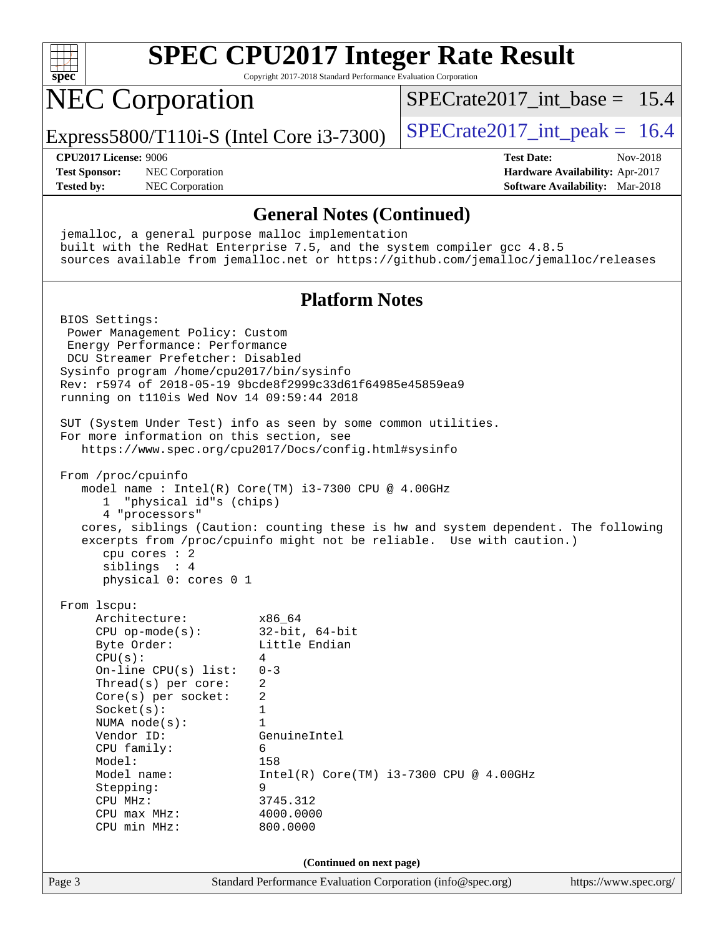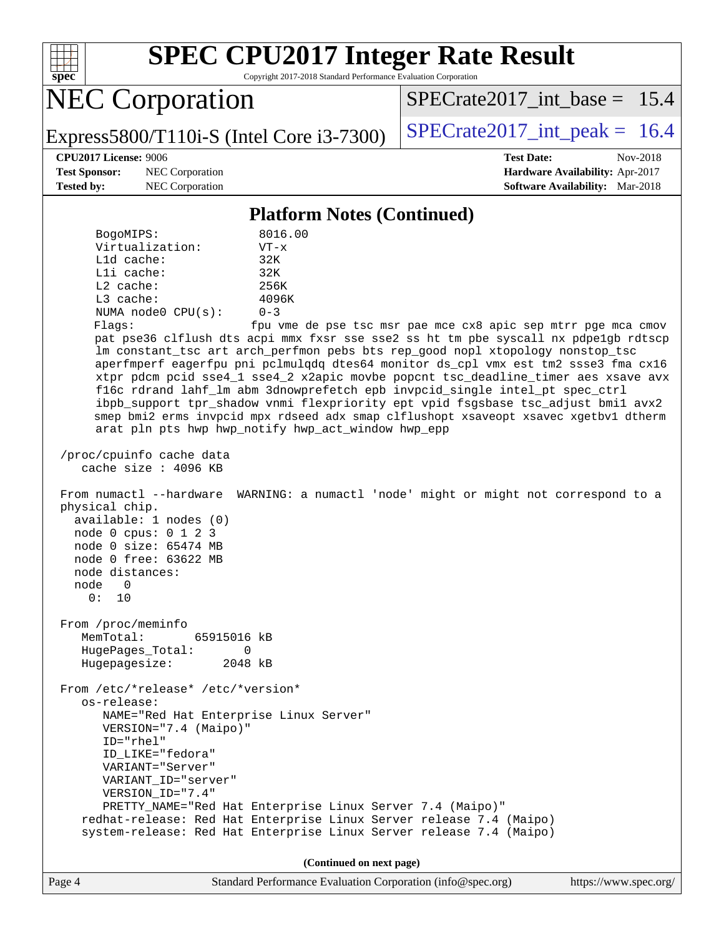

Copyright 2017-2018 Standard Performance Evaluation Corporation

NEC Corporation

SPECrate2017 int\_base =  $15.4$ 

Express5800/T110i-S (Intel Core i3-7300)  $\vert$  [SPECrate2017\\_int\\_peak =](http://www.spec.org/auto/cpu2017/Docs/result-fields.html#SPECrate2017intpeak) 16.4

**[Test Sponsor:](http://www.spec.org/auto/cpu2017/Docs/result-fields.html#TestSponsor)** NEC Corporation **[Hardware Availability:](http://www.spec.org/auto/cpu2017/Docs/result-fields.html#HardwareAvailability)** Apr-2017

**[CPU2017 License:](http://www.spec.org/auto/cpu2017/Docs/result-fields.html#CPU2017License)** 9006 **[Test Date:](http://www.spec.org/auto/cpu2017/Docs/result-fields.html#TestDate)** Nov-2018 **[Tested by:](http://www.spec.org/auto/cpu2017/Docs/result-fields.html#Testedby)** NEC Corporation **[Software Availability:](http://www.spec.org/auto/cpu2017/Docs/result-fields.html#SoftwareAvailability)** Mar-2018

#### **[Platform Notes \(Continued\)](http://www.spec.org/auto/cpu2017/Docs/result-fields.html#PlatformNotes)**

| BogoMIPS:          | 8016.00   |
|--------------------|-----------|
| Virtualization:    | $VT - x$  |
| L1d cache:         | 32K       |
| $L1i$ cache:       | 32K       |
| $L2$ cache:        | 256K      |
| $L3$ cache:        | 4096K     |
| NUMA node0 CPU(s): | $0 - 3$   |
| Flaqs:             | fpu vme d |

le pse tsc msr pae mce cx8 apic sep mtrr pge mca cmov pat pse36 clflush dts acpi mmx fxsr sse sse2 ss ht tm pbe syscall nx pdpe1gb rdtscp lm constant\_tsc art arch\_perfmon pebs bts rep\_good nopl xtopology nonstop\_tsc aperfmperf eagerfpu pni pclmulqdq dtes64 monitor ds\_cpl vmx est tm2 ssse3 fma cx16 xtpr pdcm pcid sse4\_1 sse4\_2 x2apic movbe popcnt tsc\_deadline\_timer aes xsave avx f16c rdrand lahf\_lm abm 3dnowprefetch epb invpcid\_single intel\_pt spec\_ctrl ibpb\_support tpr\_shadow vnmi flexpriority ept vpid fsgsbase tsc\_adjust bmi1 avx2 smep bmi2 erms invpcid mpx rdseed adx smap clflushopt xsaveopt xsavec xgetbv1 dtherm arat pln pts hwp hwp\_notify hwp\_act\_window hwp\_epp

 /proc/cpuinfo cache data cache size : 4096 KB

 From numactl --hardware WARNING: a numactl 'node' might or might not correspond to a physical chip. available: 1 nodes (0)

|  | node $0$ cpus: $0$ 1 2 3 |  |  |
|--|--------------------------|--|--|
|  | node 0 size: 65474 MB    |  |  |
|  | node 0 free: 63622 MB    |  |  |

 node distances: node 0

0: 10

 From /proc/meminfo MemTotal: 65915016 kB HugePages\_Total: 0

Hugepagesize: 2048 kB

 From /etc/\*release\* /etc/\*version\* os-release: NAME="Red Hat Enterprise Linux Server" VERSION="7.4 (Maipo)" ID="rhel" ID\_LIKE="fedora" VARIANT="Server" VARIANT\_ID="server" VERSION\_ID="7.4" PRETTY\_NAME="Red Hat Enterprise Linux Server 7.4 (Maipo)" redhat-release: Red Hat Enterprise Linux Server release 7.4 (Maipo)

system-release: Red Hat Enterprise Linux Server release 7.4 (Maipo)

**(Continued on next page)**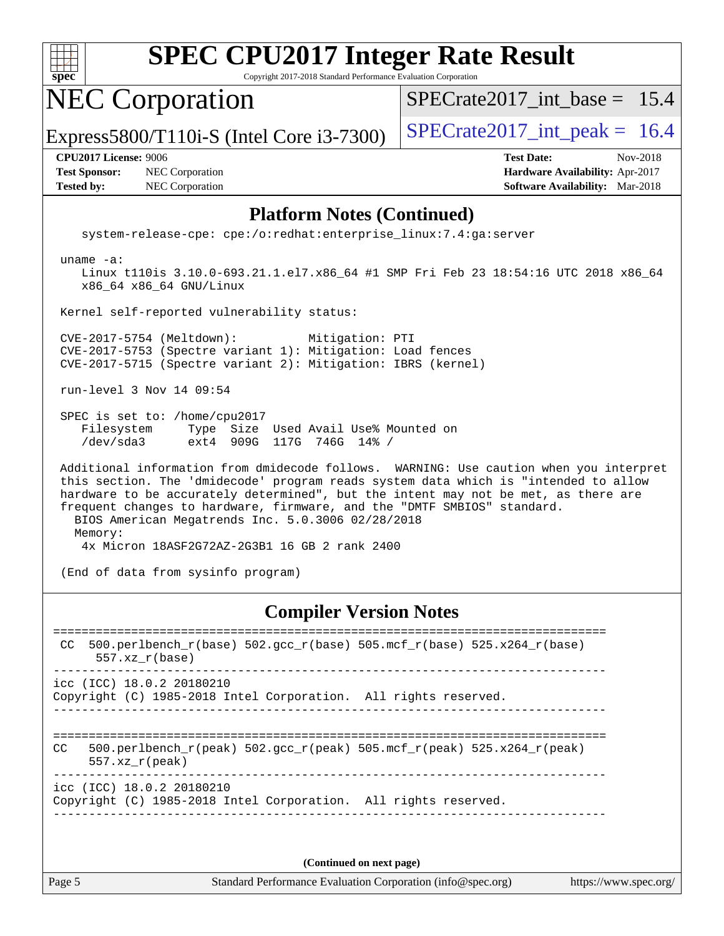

Copyright 2017-2018 Standard Performance Evaluation Corporation

NEC Corporation

[SPECrate2017\\_int\\_base =](http://www.spec.org/auto/cpu2017/Docs/result-fields.html#SPECrate2017intbase) 15.4

Express5800/T110i-S (Intel Core i3-7300)  $\vert$  [SPECrate2017\\_int\\_peak =](http://www.spec.org/auto/cpu2017/Docs/result-fields.html#SPECrate2017intpeak) 16.4

**[Test Sponsor:](http://www.spec.org/auto/cpu2017/Docs/result-fields.html#TestSponsor)** NEC Corporation **[Hardware Availability:](http://www.spec.org/auto/cpu2017/Docs/result-fields.html#HardwareAvailability)** Apr-2017 **[Tested by:](http://www.spec.org/auto/cpu2017/Docs/result-fields.html#Testedby)** NEC Corporation **[Software Availability:](http://www.spec.org/auto/cpu2017/Docs/result-fields.html#SoftwareAvailability)** Mar-2018

**[CPU2017 License:](http://www.spec.org/auto/cpu2017/Docs/result-fields.html#CPU2017License)** 9006 **[Test Date:](http://www.spec.org/auto/cpu2017/Docs/result-fields.html#TestDate)** Nov-2018

### **[Platform Notes \(Continued\)](http://www.spec.org/auto/cpu2017/Docs/result-fields.html#PlatformNotes)**

system-release-cpe: cpe:/o:redhat:enterprise\_linux:7.4:ga:server

uname -a:

 Linux t110is 3.10.0-693.21.1.el7.x86\_64 #1 SMP Fri Feb 23 18:54:16 UTC 2018 x86\_64 x86\_64 x86\_64 GNU/Linux

Kernel self-reported vulnerability status:

 CVE-2017-5754 (Meltdown): Mitigation: PTI CVE-2017-5753 (Spectre variant 1): Mitigation: Load fences CVE-2017-5715 (Spectre variant 2): Mitigation: IBRS (kernel)

run-level 3 Nov 14 09:54

 SPEC is set to: /home/cpu2017 Filesystem Type Size Used Avail Use% Mounted on /dev/sda3 ext4 909G 117G 746G 14% /

 Additional information from dmidecode follows. WARNING: Use caution when you interpret this section. The 'dmidecode' program reads system data which is "intended to allow hardware to be accurately determined", but the intent may not be met, as there are frequent changes to hardware, firmware, and the "DMTF SMBIOS" standard. BIOS American Megatrends Inc. 5.0.3006 02/28/2018 Memory: 4x Micron 18ASF2G72AZ-2G3B1 16 GB 2 rank 2400

(End of data from sysinfo program)

### **[Compiler Version Notes](http://www.spec.org/auto/cpu2017/Docs/result-fields.html#CompilerVersionNotes)**

============================================================================== CC 500.perlbench\_r(base)  $502.\text{gcc}_r(\text{base})$  505.mcf\_r(base) 525.x264\_r(base) 557.xz\_r(base) ----------------------------------------------------------------------------- icc (ICC) 18.0.2 20180210 Copyright (C) 1985-2018 Intel Corporation. All rights reserved. ------------------------------------------------------------------------------ ============================================================================== CC 500.perlbench r(peak) 502.gcc r(peak) 505.mcf r(peak) 525.x264 r(peak) 557.xz\_r(peak) ----------------------------------------------------------------------------- icc (ICC) 18.0.2 20180210 Copyright (C) 1985-2018 Intel Corporation. All rights reserved. ------------------------------------------------------------------------------

**(Continued on next page)**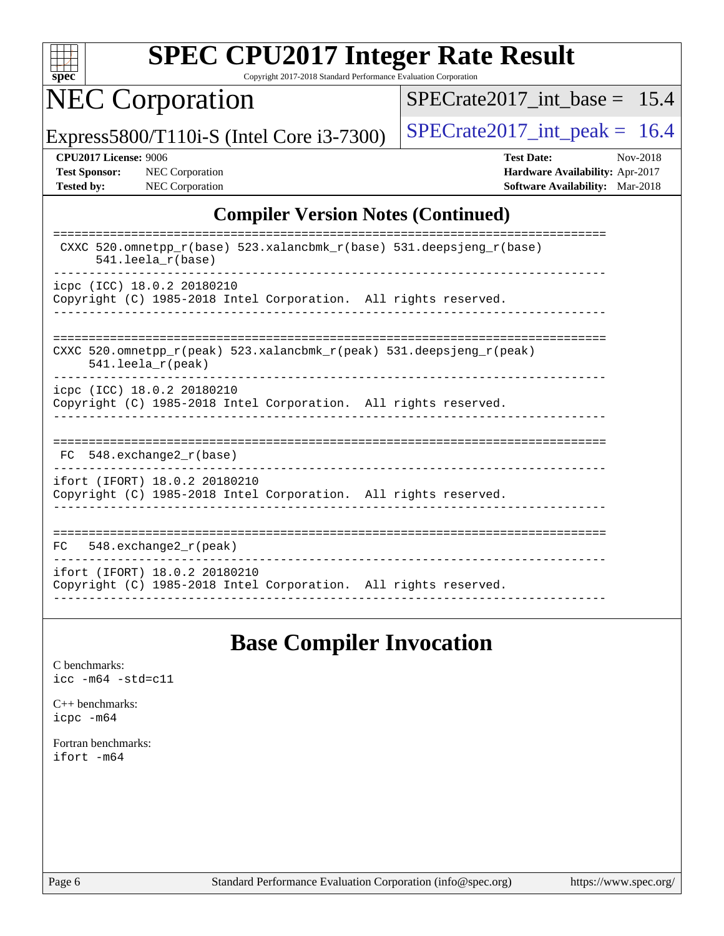

Copyright 2017-2018 Standard Performance Evaluation Corporation

NEC Corporation

 $SPECTate2017\_int\_base = 15.4$ 

Express5800/T110i-S (Intel Core i3-7300)  $\vert$  [SPECrate2017\\_int\\_peak =](http://www.spec.org/auto/cpu2017/Docs/result-fields.html#SPECrate2017intpeak) 16.4

**[CPU2017 License:](http://www.spec.org/auto/cpu2017/Docs/result-fields.html#CPU2017License)** 9006 **[Test Date:](http://www.spec.org/auto/cpu2017/Docs/result-fields.html#TestDate)** Nov-2018 **[Test Sponsor:](http://www.spec.org/auto/cpu2017/Docs/result-fields.html#TestSponsor)** NEC Corporation **[Hardware Availability:](http://www.spec.org/auto/cpu2017/Docs/result-fields.html#HardwareAvailability)** Apr-2017 **[Tested by:](http://www.spec.org/auto/cpu2017/Docs/result-fields.html#Testedby)** NEC Corporation **[Software Availability:](http://www.spec.org/auto/cpu2017/Docs/result-fields.html#SoftwareAvailability)** Mar-2018

### **[Compiler Version Notes \(Continued\)](http://www.spec.org/auto/cpu2017/Docs/result-fields.html#CompilerVersionNotes)**

| CXXC 520.omnetpp $r(base)$ 523.xalancbmk $r(base)$ 531.deepsjeng $r(base)$<br>$541.$ leela $r(base)$                    |
|-------------------------------------------------------------------------------------------------------------------------|
| icpc (ICC) 18.0.2 20180210<br>Copyright (C) 1985-2018 Intel Corporation. All rights reserved.                           |
| CXXC 520 omnetpp $r(\text{peak})$ 523 xalancbmk $r(\text{peak})$ 531 deepsjeng $r(\text{peak})$<br>$541.$ leela r(peak) |
| icpc (ICC) 18.0.2 20180210<br>Copyright (C) 1985-2018 Intel Corporation. All rights reserved.                           |
| 548.exchange2 r(base)<br>FC.                                                                                            |
| ifort (IFORT) 18.0.2 20180210<br>Copyright (C) 1985-2018 Intel Corporation. All rights reserved.                        |
| 548. $exchange2 r (peak)$<br>FC.                                                                                        |
| ifort (IFORT) 18.0.2 20180210<br>Copyright (C) 1985-2018 Intel Corporation. All rights reserved.                        |

### **[Base Compiler Invocation](http://www.spec.org/auto/cpu2017/Docs/result-fields.html#BaseCompilerInvocation)**

[C benchmarks](http://www.spec.org/auto/cpu2017/Docs/result-fields.html#Cbenchmarks): [icc -m64 -std=c11](http://www.spec.org/cpu2017/results/res2018q4/cpu2017-20181126-09860.flags.html#user_CCbase_intel_icc_64bit_c11_33ee0cdaae7deeeab2a9725423ba97205ce30f63b9926c2519791662299b76a0318f32ddfffdc46587804de3178b4f9328c46fa7c2b0cd779d7a61945c91cd35)

[C++ benchmarks:](http://www.spec.org/auto/cpu2017/Docs/result-fields.html#CXXbenchmarks) [icpc -m64](http://www.spec.org/cpu2017/results/res2018q4/cpu2017-20181126-09860.flags.html#user_CXXbase_intel_icpc_64bit_4ecb2543ae3f1412ef961e0650ca070fec7b7afdcd6ed48761b84423119d1bf6bdf5cad15b44d48e7256388bc77273b966e5eb805aefd121eb22e9299b2ec9d9)

[Fortran benchmarks](http://www.spec.org/auto/cpu2017/Docs/result-fields.html#Fortranbenchmarks): [ifort -m64](http://www.spec.org/cpu2017/results/res2018q4/cpu2017-20181126-09860.flags.html#user_FCbase_intel_ifort_64bit_24f2bb282fbaeffd6157abe4f878425411749daecae9a33200eee2bee2fe76f3b89351d69a8130dd5949958ce389cf37ff59a95e7a40d588e8d3a57e0c3fd751)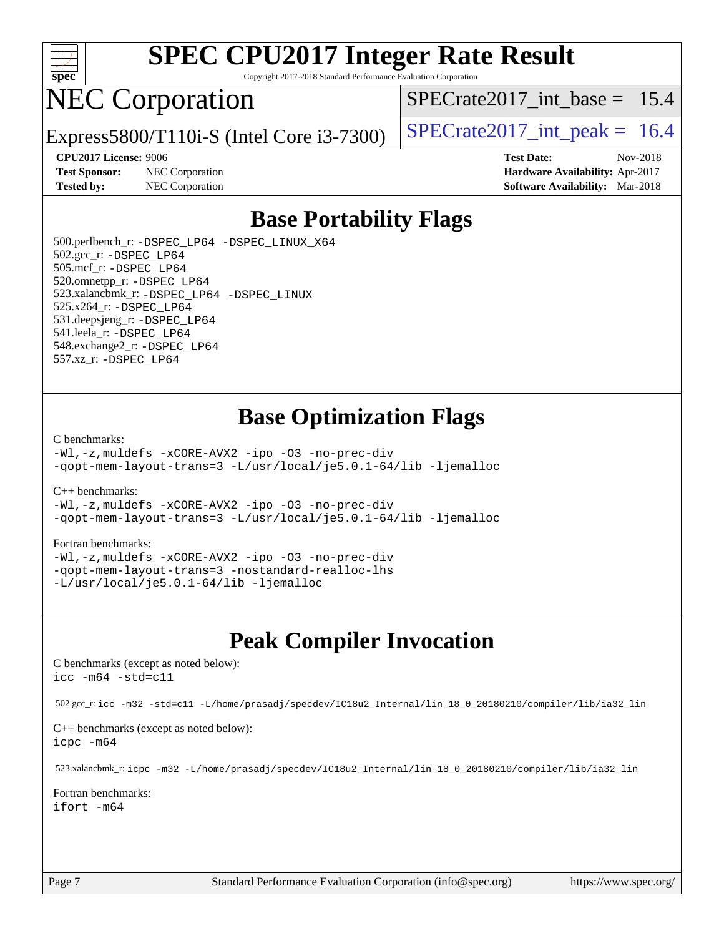

Copyright 2017-2018 Standard Performance Evaluation Corporation

## NEC Corporation

Express5800/T110i-S (Intel Core i3-7300)  $\vert$  [SPECrate2017\\_int\\_peak =](http://www.spec.org/auto/cpu2017/Docs/result-fields.html#SPECrate2017intpeak) 16.4

SPECrate2017 int\_base =  $15.4$ 

**[Test Sponsor:](http://www.spec.org/auto/cpu2017/Docs/result-fields.html#TestSponsor)** NEC Corporation **[Hardware Availability:](http://www.spec.org/auto/cpu2017/Docs/result-fields.html#HardwareAvailability)** Apr-2017

**[CPU2017 License:](http://www.spec.org/auto/cpu2017/Docs/result-fields.html#CPU2017License)** 9006 **[Test Date:](http://www.spec.org/auto/cpu2017/Docs/result-fields.html#TestDate)** Nov-2018 **[Tested by:](http://www.spec.org/auto/cpu2017/Docs/result-fields.html#Testedby)** NEC Corporation **[Software Availability:](http://www.spec.org/auto/cpu2017/Docs/result-fields.html#SoftwareAvailability)** Mar-2018

### **[Base Portability Flags](http://www.spec.org/auto/cpu2017/Docs/result-fields.html#BasePortabilityFlags)**

 500.perlbench\_r: [-DSPEC\\_LP64](http://www.spec.org/cpu2017/results/res2018q4/cpu2017-20181126-09860.flags.html#b500.perlbench_r_basePORTABILITY_DSPEC_LP64) [-DSPEC\\_LINUX\\_X64](http://www.spec.org/cpu2017/results/res2018q4/cpu2017-20181126-09860.flags.html#b500.perlbench_r_baseCPORTABILITY_DSPEC_LINUX_X64) 502.gcc\_r: [-DSPEC\\_LP64](http://www.spec.org/cpu2017/results/res2018q4/cpu2017-20181126-09860.flags.html#suite_basePORTABILITY502_gcc_r_DSPEC_LP64) 505.mcf\_r: [-DSPEC\\_LP64](http://www.spec.org/cpu2017/results/res2018q4/cpu2017-20181126-09860.flags.html#suite_basePORTABILITY505_mcf_r_DSPEC_LP64) 520.omnetpp\_r: [-DSPEC\\_LP64](http://www.spec.org/cpu2017/results/res2018q4/cpu2017-20181126-09860.flags.html#suite_basePORTABILITY520_omnetpp_r_DSPEC_LP64) 523.xalancbmk\_r: [-DSPEC\\_LP64](http://www.spec.org/cpu2017/results/res2018q4/cpu2017-20181126-09860.flags.html#suite_basePORTABILITY523_xalancbmk_r_DSPEC_LP64) [-DSPEC\\_LINUX](http://www.spec.org/cpu2017/results/res2018q4/cpu2017-20181126-09860.flags.html#b523.xalancbmk_r_baseCXXPORTABILITY_DSPEC_LINUX) 525.x264\_r: [-DSPEC\\_LP64](http://www.spec.org/cpu2017/results/res2018q4/cpu2017-20181126-09860.flags.html#suite_basePORTABILITY525_x264_r_DSPEC_LP64) 531.deepsjeng\_r: [-DSPEC\\_LP64](http://www.spec.org/cpu2017/results/res2018q4/cpu2017-20181126-09860.flags.html#suite_basePORTABILITY531_deepsjeng_r_DSPEC_LP64) 541.leela\_r: [-DSPEC\\_LP64](http://www.spec.org/cpu2017/results/res2018q4/cpu2017-20181126-09860.flags.html#suite_basePORTABILITY541_leela_r_DSPEC_LP64) 548.exchange2\_r: [-DSPEC\\_LP64](http://www.spec.org/cpu2017/results/res2018q4/cpu2017-20181126-09860.flags.html#suite_basePORTABILITY548_exchange2_r_DSPEC_LP64) 557.xz\_r: [-DSPEC\\_LP64](http://www.spec.org/cpu2017/results/res2018q4/cpu2017-20181126-09860.flags.html#suite_basePORTABILITY557_xz_r_DSPEC_LP64)

### **[Base Optimization Flags](http://www.spec.org/auto/cpu2017/Docs/result-fields.html#BaseOptimizationFlags)**

#### [C benchmarks](http://www.spec.org/auto/cpu2017/Docs/result-fields.html#Cbenchmarks):

[-Wl,-z,muldefs](http://www.spec.org/cpu2017/results/res2018q4/cpu2017-20181126-09860.flags.html#user_CCbase_link_force_multiple1_b4cbdb97b34bdee9ceefcfe54f4c8ea74255f0b02a4b23e853cdb0e18eb4525ac79b5a88067c842dd0ee6996c24547a27a4b99331201badda8798ef8a743f577) [-xCORE-AVX2](http://www.spec.org/cpu2017/results/res2018q4/cpu2017-20181126-09860.flags.html#user_CCbase_f-xCORE-AVX2) [-ipo](http://www.spec.org/cpu2017/results/res2018q4/cpu2017-20181126-09860.flags.html#user_CCbase_f-ipo) [-O3](http://www.spec.org/cpu2017/results/res2018q4/cpu2017-20181126-09860.flags.html#user_CCbase_f-O3) [-no-prec-div](http://www.spec.org/cpu2017/results/res2018q4/cpu2017-20181126-09860.flags.html#user_CCbase_f-no-prec-div) [-qopt-mem-layout-trans=3](http://www.spec.org/cpu2017/results/res2018q4/cpu2017-20181126-09860.flags.html#user_CCbase_f-qopt-mem-layout-trans_de80db37974c74b1f0e20d883f0b675c88c3b01e9d123adea9b28688d64333345fb62bc4a798493513fdb68f60282f9a726aa07f478b2f7113531aecce732043) [-L/usr/local/je5.0.1-64/lib](http://www.spec.org/cpu2017/results/res2018q4/cpu2017-20181126-09860.flags.html#user_CCbase_jemalloc_link_path64_4b10a636b7bce113509b17f3bd0d6226c5fb2346b9178c2d0232c14f04ab830f976640479e5c33dc2bcbbdad86ecfb6634cbbd4418746f06f368b512fced5394) [-ljemalloc](http://www.spec.org/cpu2017/results/res2018q4/cpu2017-20181126-09860.flags.html#user_CCbase_jemalloc_link_lib_d1249b907c500fa1c0672f44f562e3d0f79738ae9e3c4a9c376d49f265a04b9c99b167ecedbf6711b3085be911c67ff61f150a17b3472be731631ba4d0471706)

#### [C++ benchmarks:](http://www.spec.org/auto/cpu2017/Docs/result-fields.html#CXXbenchmarks)

[-Wl,-z,muldefs](http://www.spec.org/cpu2017/results/res2018q4/cpu2017-20181126-09860.flags.html#user_CXXbase_link_force_multiple1_b4cbdb97b34bdee9ceefcfe54f4c8ea74255f0b02a4b23e853cdb0e18eb4525ac79b5a88067c842dd0ee6996c24547a27a4b99331201badda8798ef8a743f577) [-xCORE-AVX2](http://www.spec.org/cpu2017/results/res2018q4/cpu2017-20181126-09860.flags.html#user_CXXbase_f-xCORE-AVX2) [-ipo](http://www.spec.org/cpu2017/results/res2018q4/cpu2017-20181126-09860.flags.html#user_CXXbase_f-ipo) [-O3](http://www.spec.org/cpu2017/results/res2018q4/cpu2017-20181126-09860.flags.html#user_CXXbase_f-O3) [-no-prec-div](http://www.spec.org/cpu2017/results/res2018q4/cpu2017-20181126-09860.flags.html#user_CXXbase_f-no-prec-div) [-qopt-mem-layout-trans=3](http://www.spec.org/cpu2017/results/res2018q4/cpu2017-20181126-09860.flags.html#user_CXXbase_f-qopt-mem-layout-trans_de80db37974c74b1f0e20d883f0b675c88c3b01e9d123adea9b28688d64333345fb62bc4a798493513fdb68f60282f9a726aa07f478b2f7113531aecce732043) [-L/usr/local/je5.0.1-64/lib](http://www.spec.org/cpu2017/results/res2018q4/cpu2017-20181126-09860.flags.html#user_CXXbase_jemalloc_link_path64_4b10a636b7bce113509b17f3bd0d6226c5fb2346b9178c2d0232c14f04ab830f976640479e5c33dc2bcbbdad86ecfb6634cbbd4418746f06f368b512fced5394) [-ljemalloc](http://www.spec.org/cpu2017/results/res2018q4/cpu2017-20181126-09860.flags.html#user_CXXbase_jemalloc_link_lib_d1249b907c500fa1c0672f44f562e3d0f79738ae9e3c4a9c376d49f265a04b9c99b167ecedbf6711b3085be911c67ff61f150a17b3472be731631ba4d0471706)

#### [Fortran benchmarks](http://www.spec.org/auto/cpu2017/Docs/result-fields.html#Fortranbenchmarks):

[-Wl,-z,muldefs](http://www.spec.org/cpu2017/results/res2018q4/cpu2017-20181126-09860.flags.html#user_FCbase_link_force_multiple1_b4cbdb97b34bdee9ceefcfe54f4c8ea74255f0b02a4b23e853cdb0e18eb4525ac79b5a88067c842dd0ee6996c24547a27a4b99331201badda8798ef8a743f577) [-xCORE-AVX2](http://www.spec.org/cpu2017/results/res2018q4/cpu2017-20181126-09860.flags.html#user_FCbase_f-xCORE-AVX2) [-ipo](http://www.spec.org/cpu2017/results/res2018q4/cpu2017-20181126-09860.flags.html#user_FCbase_f-ipo) [-O3](http://www.spec.org/cpu2017/results/res2018q4/cpu2017-20181126-09860.flags.html#user_FCbase_f-O3) [-no-prec-div](http://www.spec.org/cpu2017/results/res2018q4/cpu2017-20181126-09860.flags.html#user_FCbase_f-no-prec-div) [-qopt-mem-layout-trans=3](http://www.spec.org/cpu2017/results/res2018q4/cpu2017-20181126-09860.flags.html#user_FCbase_f-qopt-mem-layout-trans_de80db37974c74b1f0e20d883f0b675c88c3b01e9d123adea9b28688d64333345fb62bc4a798493513fdb68f60282f9a726aa07f478b2f7113531aecce732043) [-nostandard-realloc-lhs](http://www.spec.org/cpu2017/results/res2018q4/cpu2017-20181126-09860.flags.html#user_FCbase_f_2003_std_realloc_82b4557e90729c0f113870c07e44d33d6f5a304b4f63d4c15d2d0f1fab99f5daaed73bdb9275d9ae411527f28b936061aa8b9c8f2d63842963b95c9dd6426b8a) [-L/usr/local/je5.0.1-64/lib](http://www.spec.org/cpu2017/results/res2018q4/cpu2017-20181126-09860.flags.html#user_FCbase_jemalloc_link_path64_4b10a636b7bce113509b17f3bd0d6226c5fb2346b9178c2d0232c14f04ab830f976640479e5c33dc2bcbbdad86ecfb6634cbbd4418746f06f368b512fced5394) [-ljemalloc](http://www.spec.org/cpu2017/results/res2018q4/cpu2017-20181126-09860.flags.html#user_FCbase_jemalloc_link_lib_d1249b907c500fa1c0672f44f562e3d0f79738ae9e3c4a9c376d49f265a04b9c99b167ecedbf6711b3085be911c67ff61f150a17b3472be731631ba4d0471706)

### **[Peak Compiler Invocation](http://www.spec.org/auto/cpu2017/Docs/result-fields.html#PeakCompilerInvocation)**

[C benchmarks \(except as noted below\)](http://www.spec.org/auto/cpu2017/Docs/result-fields.html#Cbenchmarksexceptasnotedbelow): [icc -m64 -std=c11](http://www.spec.org/cpu2017/results/res2018q4/cpu2017-20181126-09860.flags.html#user_CCpeak_intel_icc_64bit_c11_33ee0cdaae7deeeab2a9725423ba97205ce30f63b9926c2519791662299b76a0318f32ddfffdc46587804de3178b4f9328c46fa7c2b0cd779d7a61945c91cd35)

502.gcc\_r: [icc -m32 -std=c11 -L/home/prasadj/specdev/IC18u2\\_Internal/lin\\_18\\_0\\_20180210/compiler/lib/ia32\\_lin](http://www.spec.org/cpu2017/results/res2018q4/cpu2017-20181126-09860.flags.html#user_peakCCLD502_gcc_r_intel_icc_a481ac844e7127046fad14d498c730a1848fa901fbbb2c3dfdd5e9fbbac777c8009953946d55d8b6afe8ed0da70dd2b4f8dedbdf7ab1ee211ba70d24a5d89f85)

[C++ benchmarks \(except as noted below\):](http://www.spec.org/auto/cpu2017/Docs/result-fields.html#CXXbenchmarksexceptasnotedbelow) [icpc -m64](http://www.spec.org/cpu2017/results/res2018q4/cpu2017-20181126-09860.flags.html#user_CXXpeak_intel_icpc_64bit_4ecb2543ae3f1412ef961e0650ca070fec7b7afdcd6ed48761b84423119d1bf6bdf5cad15b44d48e7256388bc77273b966e5eb805aefd121eb22e9299b2ec9d9)

523.xalancbmk\_r: [icpc -m32 -L/home/prasadj/specdev/IC18u2\\_Internal/lin\\_18\\_0\\_20180210/compiler/lib/ia32\\_lin](http://www.spec.org/cpu2017/results/res2018q4/cpu2017-20181126-09860.flags.html#user_peakCXXLD523_xalancbmk_r_intel_icpc_c6d030cd79af6ea7d6fb64c57e8fe7ae8fe0b96fc5a3b3f4a10e3273b3d7fa9decd8263f6330cef23f751cb093a69fae84a2bf4c243500a8eed069248128076f)

[Fortran benchmarks](http://www.spec.org/auto/cpu2017/Docs/result-fields.html#Fortranbenchmarks): [ifort -m64](http://www.spec.org/cpu2017/results/res2018q4/cpu2017-20181126-09860.flags.html#user_FCpeak_intel_ifort_64bit_24f2bb282fbaeffd6157abe4f878425411749daecae9a33200eee2bee2fe76f3b89351d69a8130dd5949958ce389cf37ff59a95e7a40d588e8d3a57e0c3fd751)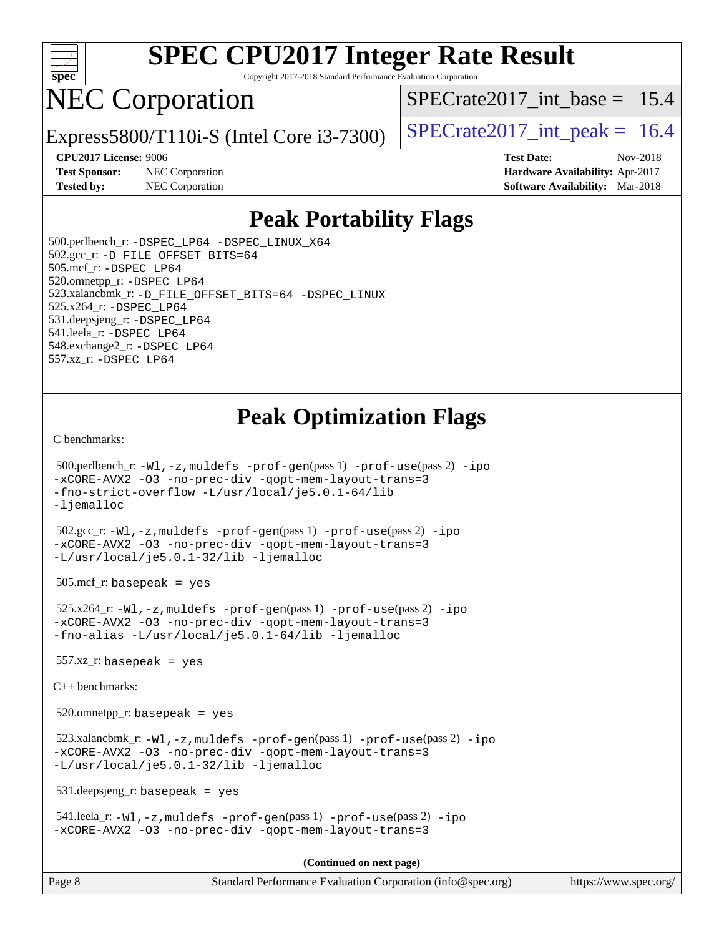

Copyright 2017-2018 Standard Performance Evaluation Corporation

## NEC Corporation

Express5800/T110i-S (Intel Core i3-7300)  $\vert$  [SPECrate2017\\_int\\_peak =](http://www.spec.org/auto/cpu2017/Docs/result-fields.html#SPECrate2017intpeak) 16.4

SPECrate2017 int\_base =  $15.4$ 

**[Test Sponsor:](http://www.spec.org/auto/cpu2017/Docs/result-fields.html#TestSponsor)** NEC Corporation **[Hardware Availability:](http://www.spec.org/auto/cpu2017/Docs/result-fields.html#HardwareAvailability)** Apr-2017 **[Tested by:](http://www.spec.org/auto/cpu2017/Docs/result-fields.html#Testedby)** NEC Corporation **[Software Availability:](http://www.spec.org/auto/cpu2017/Docs/result-fields.html#SoftwareAvailability)** Mar-2018

**[CPU2017 License:](http://www.spec.org/auto/cpu2017/Docs/result-fields.html#CPU2017License)** 9006 **[Test Date:](http://www.spec.org/auto/cpu2017/Docs/result-fields.html#TestDate)** Nov-2018

### **[Peak Portability Flags](http://www.spec.org/auto/cpu2017/Docs/result-fields.html#PeakPortabilityFlags)**

 500.perlbench\_r: [-DSPEC\\_LP64](http://www.spec.org/cpu2017/results/res2018q4/cpu2017-20181126-09860.flags.html#b500.perlbench_r_peakPORTABILITY_DSPEC_LP64) [-DSPEC\\_LINUX\\_X64](http://www.spec.org/cpu2017/results/res2018q4/cpu2017-20181126-09860.flags.html#b500.perlbench_r_peakCPORTABILITY_DSPEC_LINUX_X64) 502.gcc\_r: [-D\\_FILE\\_OFFSET\\_BITS=64](http://www.spec.org/cpu2017/results/res2018q4/cpu2017-20181126-09860.flags.html#user_peakPORTABILITY502_gcc_r_file_offset_bits_64_5ae949a99b284ddf4e95728d47cb0843d81b2eb0e18bdfe74bbf0f61d0b064f4bda2f10ea5eb90e1dcab0e84dbc592acfc5018bc955c18609f94ddb8d550002c) 505.mcf\_r: [-DSPEC\\_LP64](http://www.spec.org/cpu2017/results/res2018q4/cpu2017-20181126-09860.flags.html#suite_peakPORTABILITY505_mcf_r_DSPEC_LP64) 520.omnetpp\_r: [-DSPEC\\_LP64](http://www.spec.org/cpu2017/results/res2018q4/cpu2017-20181126-09860.flags.html#suite_peakPORTABILITY520_omnetpp_r_DSPEC_LP64) 523.xalancbmk\_r: [-D\\_FILE\\_OFFSET\\_BITS=64](http://www.spec.org/cpu2017/results/res2018q4/cpu2017-20181126-09860.flags.html#user_peakPORTABILITY523_xalancbmk_r_file_offset_bits_64_5ae949a99b284ddf4e95728d47cb0843d81b2eb0e18bdfe74bbf0f61d0b064f4bda2f10ea5eb90e1dcab0e84dbc592acfc5018bc955c18609f94ddb8d550002c) [-DSPEC\\_LINUX](http://www.spec.org/cpu2017/results/res2018q4/cpu2017-20181126-09860.flags.html#b523.xalancbmk_r_peakCXXPORTABILITY_DSPEC_LINUX) 525.x264\_r: [-DSPEC\\_LP64](http://www.spec.org/cpu2017/results/res2018q4/cpu2017-20181126-09860.flags.html#suite_peakPORTABILITY525_x264_r_DSPEC_LP64) 531.deepsjeng\_r: [-DSPEC\\_LP64](http://www.spec.org/cpu2017/results/res2018q4/cpu2017-20181126-09860.flags.html#suite_peakPORTABILITY531_deepsjeng_r_DSPEC_LP64) 541.leela\_r: [-DSPEC\\_LP64](http://www.spec.org/cpu2017/results/res2018q4/cpu2017-20181126-09860.flags.html#suite_peakPORTABILITY541_leela_r_DSPEC_LP64) 548.exchange2\_r: [-DSPEC\\_LP64](http://www.spec.org/cpu2017/results/res2018q4/cpu2017-20181126-09860.flags.html#suite_peakPORTABILITY548_exchange2_r_DSPEC_LP64) 557.xz\_r: [-DSPEC\\_LP64](http://www.spec.org/cpu2017/results/res2018q4/cpu2017-20181126-09860.flags.html#suite_peakPORTABILITY557_xz_r_DSPEC_LP64)

### **[Peak Optimization Flags](http://www.spec.org/auto/cpu2017/Docs/result-fields.html#PeakOptimizationFlags)**

[C benchmarks](http://www.spec.org/auto/cpu2017/Docs/result-fields.html#Cbenchmarks):

```
 500.perlbench_r: -Wl,-z,muldefs -prof-gen(pass 1) -prof-use(pass 2) -ipo
-xCORE-AVX2 -O3 -no-prec-div -qopt-mem-layout-trans=3
-fno-strict-overflow -L/usr/local/je5.0.1-64/lib
-ljemalloc
 502.gcc_r: -Wl,-z,muldefs -prof-gen(pass 1) -prof-use(pass 2) -ipo
-xCORE-AVX2 -O3 -no-prec-div -qopt-mem-layout-trans=3
-L/usr/local/je5.0.1-32/lib -ljemalloc
 505.mcf_r: basepeak = yes
 525.x264_r: -Wl,-z,muldefs -prof-gen(pass 1) -prof-use(pass 2) -ipo
-xCORE-AVX2 -O3 -no-prec-div -qopt-mem-layout-trans=3
-fno-alias -L/usr/local/je5.0.1-64/lib -ljemalloc
557.xz r: basepeak = yes
C++ benchmarks: 
 520.omnetpp_r: basepeak = yes
 523.xalancbmk_r: -Wl,-z,muldefs -prof-gen(pass 1) -prof-use(pass 2) -ipo
-xCORE-AVX2 -O3 -no-prec-div -qopt-mem-layout-trans=3
-L/usr/local/je5.0.1-32/lib -ljemalloc
 531.deepsjeng_r: basepeak = yes
 541.leela_r: -Wl,-z,muldefs -prof-gen(pass 1) -prof-use(pass 2) -ipo
-xCORE-AVX2 -O3 -no-prec-div -qopt-mem-layout-trans=3
                                       (Continued on next page)
```
Page 8 Standard Performance Evaluation Corporation [\(info@spec.org\)](mailto:info@spec.org) <https://www.spec.org/>